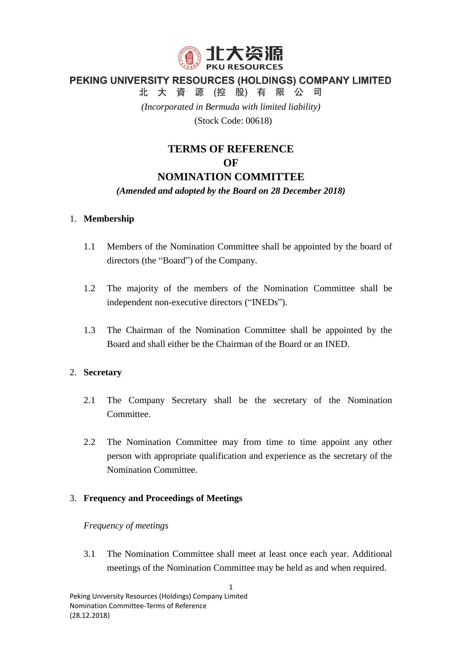

# PEKING UNIVERSITY RESOURCES (HOLDINGS) COMPANY LIMITED

北大資源(控股)有限公司

*(Incorporated in Bermuda with limited liability)*

(Stock Code: 00618)

# **TERMS OF REFERENCE**

## **OF**

# **NOMINATION COMMITTEE**

## *(Amended and adopted by the Board on 28 December 2018)*

## 1. **Membership**

- 1.1 Members of the Nomination Committee shall be appointed by the board of directors (the "Board") of the Company.
- 1.2 The majority of the members of the Nomination Committee shall be independent non-executive directors ("INEDs").
- 1.3 The Chairman of the Nomination Committee shall be appointed by the Board and shall either be the Chairman of the Board or an INED.

# 2. **Secretary**

- 2.1 The Company Secretary shall be the secretary of the Nomination **Committee**
- 2.2 The Nomination Committee may from time to time appoint any other person with appropriate qualification and experience as the secretary of the Nomination Committee.

# 3. **Frequency and Proceedings of Meetings**

## *Frequency of meetings*

3.1 The Nomination Committee shall meet at least once each year. Additional meetings of the Nomination Committee may be held as and when required.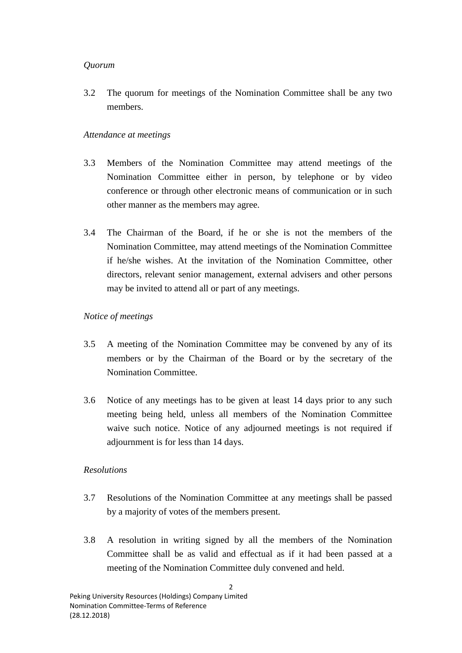## *Quorum*

3.2 The quorum for meetings of the Nomination Committee shall be any two members.

## *Attendance at meetings*

- 3.3 Members of the Nomination Committee may attend meetings of the Nomination Committee either in person, by telephone or by video conference or through other electronic means of communication or in such other manner as the members may agree.
- 3.4 The Chairman of the Board, if he or she is not the members of the Nomination Committee, may attend meetings of the Nomination Committee if he/she wishes. At the invitation of the Nomination Committee, other directors, relevant senior management, external advisers and other persons may be invited to attend all or part of any meetings.

## *Notice of meetings*

- 3.5 A meeting of the Nomination Committee may be convened by any of its members or by the Chairman of the Board or by the secretary of the Nomination Committee.
- 3.6 Notice of any meetings has to be given at least 14 days prior to any such meeting being held, unless all members of the Nomination Committee waive such notice. Notice of any adjourned meetings is not required if adjournment is for less than 14 days.

# *Resolutions*

- 3.7 Resolutions of the Nomination Committee at any meetings shall be passed by a majority of votes of the members present.
- 3.8 A resolution in writing signed by all the members of the Nomination Committee shall be as valid and effectual as if it had been passed at a meeting of the Nomination Committee duly convened and held.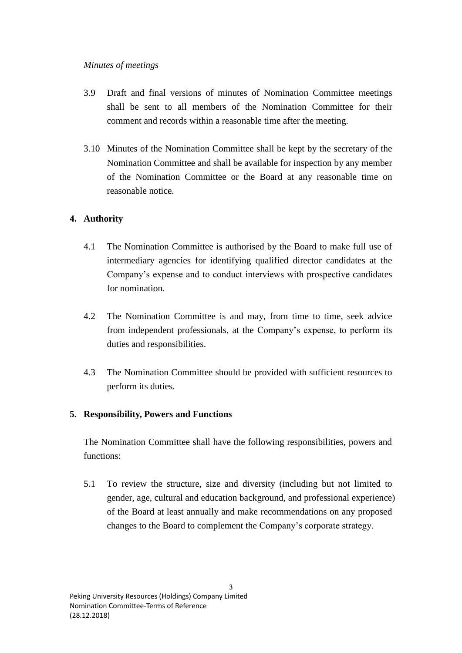#### *Minutes of meetings*

- 3.9 Draft and final versions of minutes of Nomination Committee meetings shall be sent to all members of the Nomination Committee for their comment and records within a reasonable time after the meeting.
- 3.10 Minutes of the Nomination Committee shall be kept by the secretary of the Nomination Committee and shall be available for inspection by any member of the Nomination Committee or the Board at any reasonable time on reasonable notice.

# **4. Authority**

- 4.1 The Nomination Committee is authorised by the Board to make full use of intermediary agencies for identifying qualified director candidates at the Company's expense and to conduct interviews with prospective candidates for nomination.
- 4.2 The Nomination Committee is and may, from time to time, seek advice from independent professionals, at the Company's expense, to perform its duties and responsibilities.
- 4.3 The Nomination Committee should be provided with sufficient resources to perform its duties.

# **5. Responsibility, Powers and Functions**

The Nomination Committee shall have the following responsibilities, powers and functions:

5.1 To review the structure, size and diversity (including but not limited to gender, age, cultural and education background, and professional experience) of the Board at least annually and make recommendations on any proposed changes to the Board to complement the Company's corporate strategy.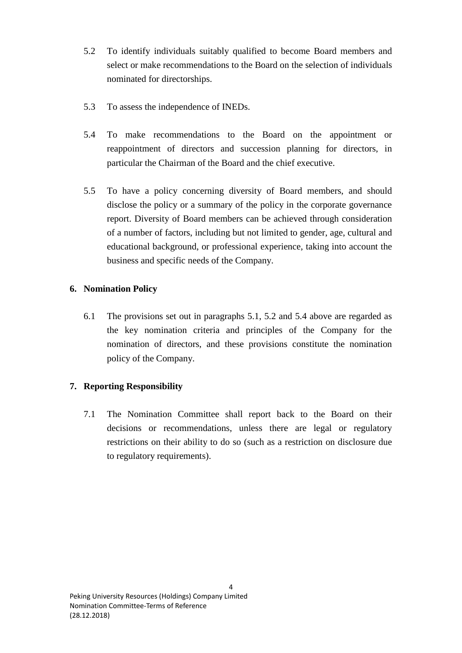- 5.2 To identify individuals suitably qualified to become Board members and select or make recommendations to the Board on the selection of individuals nominated for directorships.
- 5.3 To assess the independence of INEDs.
- 5.4 To make recommendations to the Board on the appointment or reappointment of directors and succession planning for directors, in particular the Chairman of the Board and the chief executive.
- 5.5 To have a policy concerning diversity of Board members, and should disclose the policy or a summary of the policy in the corporate governance report. Diversity of Board members can be achieved through consideration of a number of factors, including but not limited to gender, age, cultural and educational background, or professional experience, taking into account the business and specific needs of the Company.

## **6. Nomination Policy**

6.1 The provisions set out in paragraphs 5.1, 5.2 and 5.4 above are regarded as the key nomination criteria and principles of the Company for the nomination of directors, and these provisions constitute the nomination policy of the Company.

# **7. Reporting Responsibility**

7.1 The Nomination Committee shall report back to the Board on their decisions or recommendations, unless there are legal or regulatory restrictions on their ability to do so (such as a restriction on disclosure due to regulatory requirements).